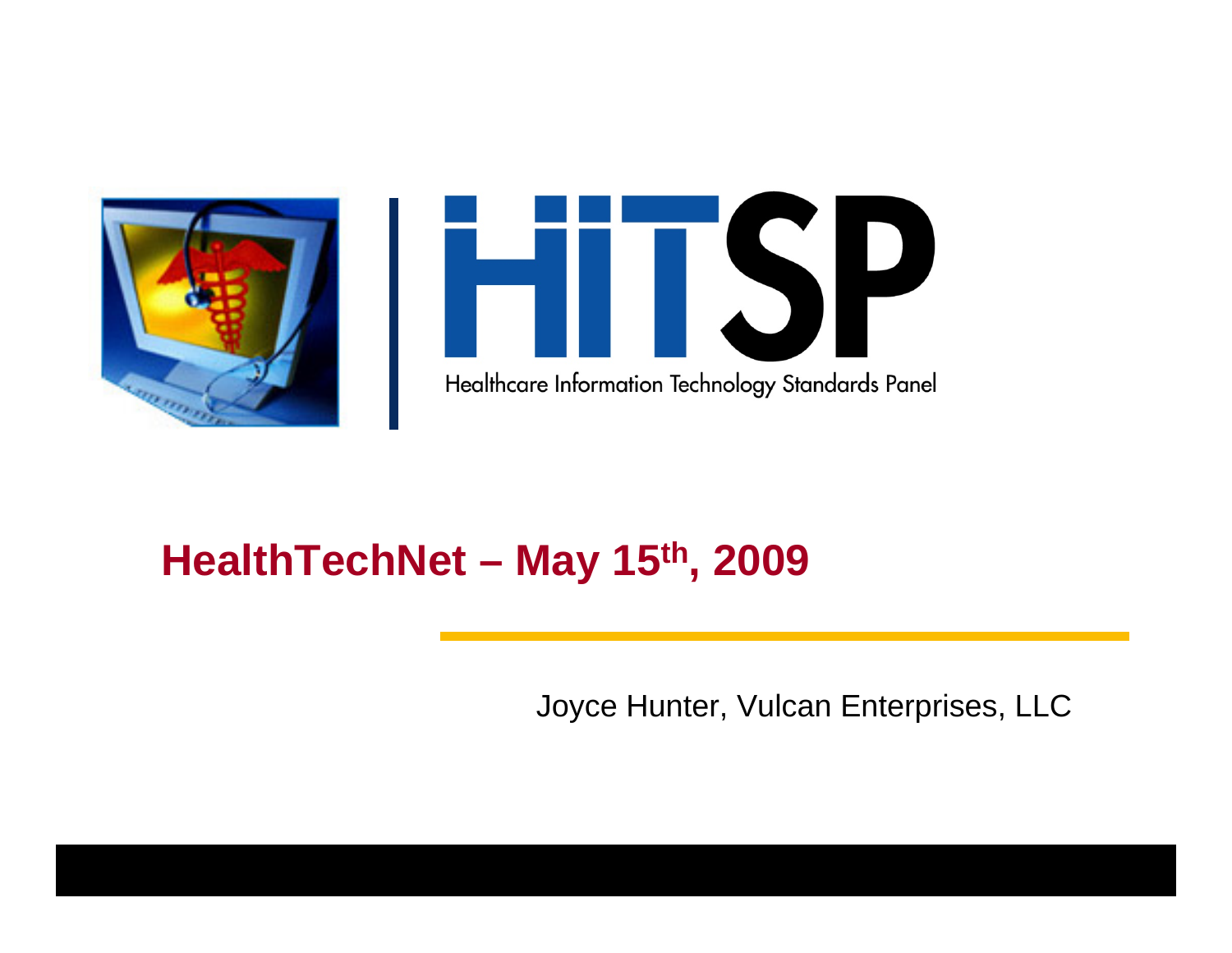



### **HealthTechNet – May 15th, 2009**

Joyce Hunter, Vulcan Enterprises, LLC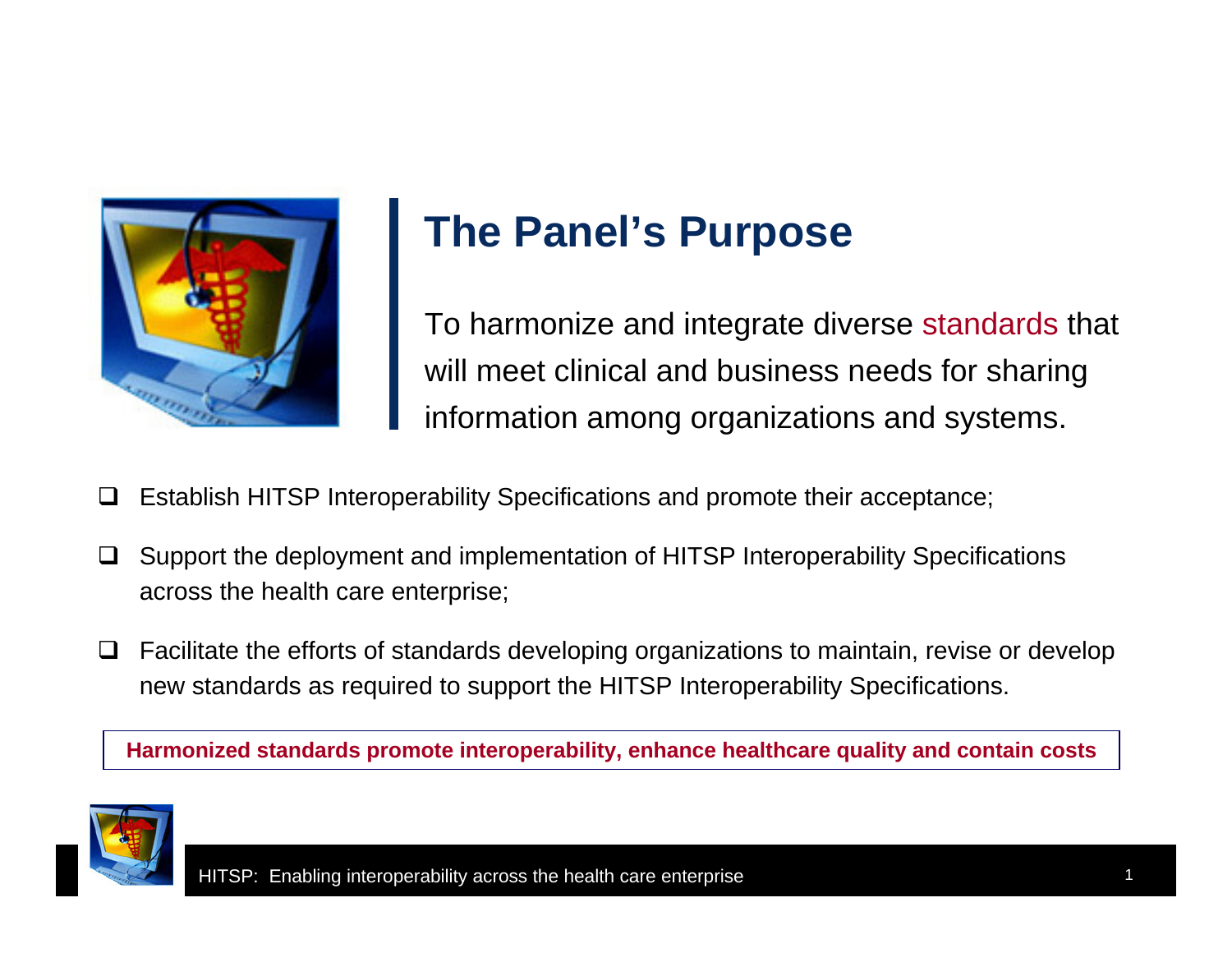

### **The Panel's Purpose**

To harmonize and integrate diverse standards that will meet clinical and business needs for sharing information among organizations and systems.

- ❏ Establish HITSP Interoperability Specifications and promote their acceptance;
- $\Box$  Support the deployment and implementation of HITSP Interoperability Specifications across the health care enterprise;
- $\Box$  Facilitate the efforts of standards developing organizations to maintain, revise or develop new standards as required to support the HITSP Interoperability Specifications.

**Harmonized standards promote interoperability, enhance healthcare quality and contain costs**

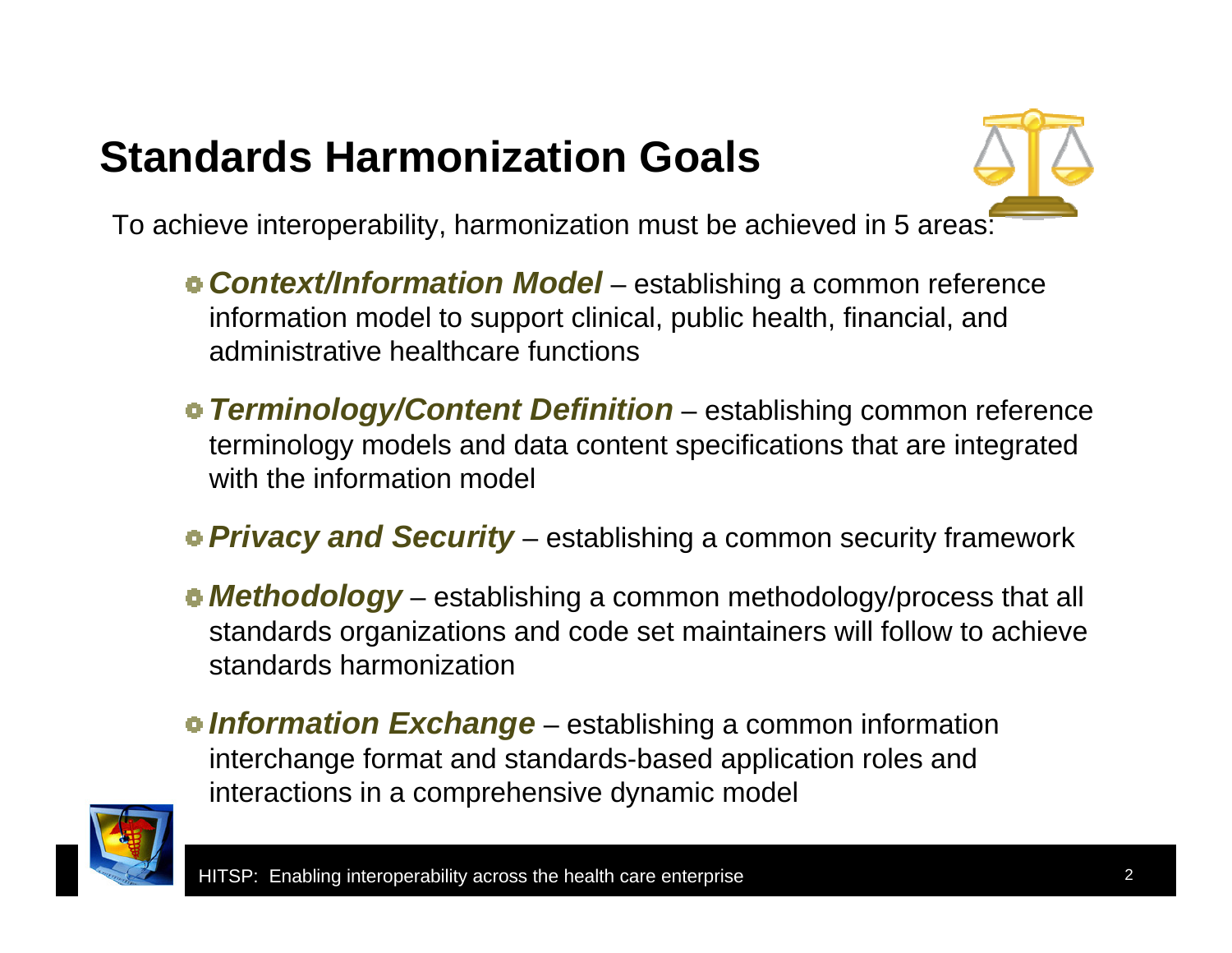#### **Standards Harmonization Goals**



To achieve interoperability, harmonization must be achieved in 5 areas:

- *Context/Information Model* establishing a common reference information model to support clinical, public health, financial, and administrative healthcare functions
- *Terminology/Content Definition* establishing common reference terminology models and data content specifications that are integrated with the information model
- *Privacy and Security* establishing a common security framework
- *Methodology* establishing a common methodology/process that all standards organizations and code set maintainers will follow to achieve standards harmonization
- *Information Exchange* establishing a common information interchange format and standards-based application roles and interactions in a comprehensive dynamic model

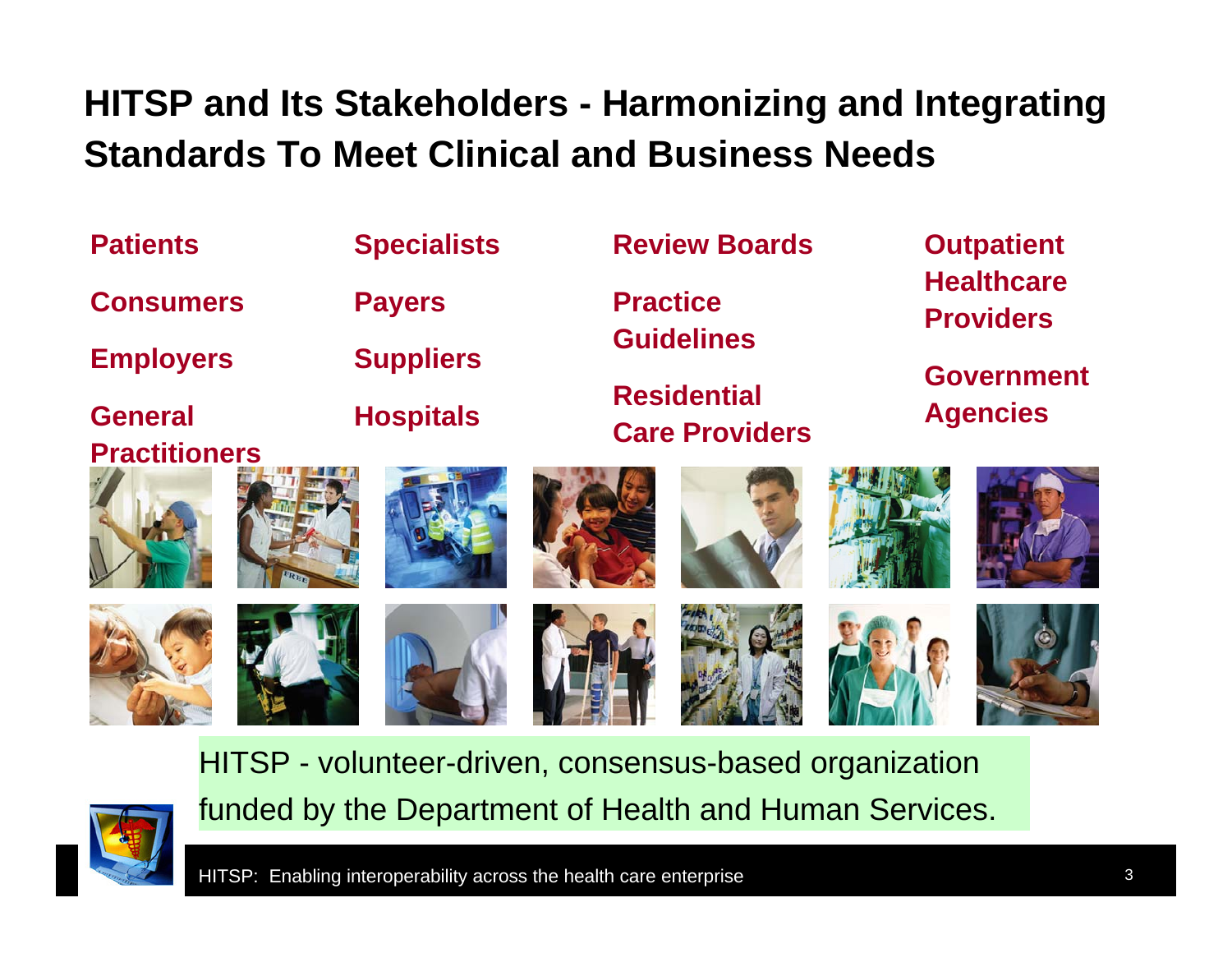#### **HITSP and Its Stakeholders - Harmonizing and Integrating Standards To Meet Clinical and Business Needs**

| <b>Patients</b>                                        |                  | <b>Specialists</b> | <b>Review Boards</b>                        |                 | <b>Outpatient</b>                    |                                       |  |
|--------------------------------------------------------|------------------|--------------------|---------------------------------------------|-----------------|--------------------------------------|---------------------------------------|--|
| <b>Consumers</b>                                       |                  | <b>Payers</b>      |                                             | <b>Practice</b> |                                      | <b>Healthcare</b><br><b>Providers</b> |  |
| <b>Employers</b>                                       | <b>Suppliers</b> |                    | <b>Guidelines</b>                           |                 | <b>Government</b><br><b>Agencies</b> |                                       |  |
| <b>General</b>                                         | <b>Hospitals</b> |                    | <b>Residential</b><br><b>Care Providers</b> |                 |                                      |                                       |  |
| <b>Practitioners</b>                                   |                  |                    |                                             |                 |                                      |                                       |  |
|                                                        |                  |                    |                                             |                 |                                      |                                       |  |
| HITSP - volunteer-driven, consensus-based organization |                  |                    |                                             |                 |                                      |                                       |  |

funded by the Department of Health and Human Services.



HITSP: Enabling interoperability across the health care enterprise **3** 3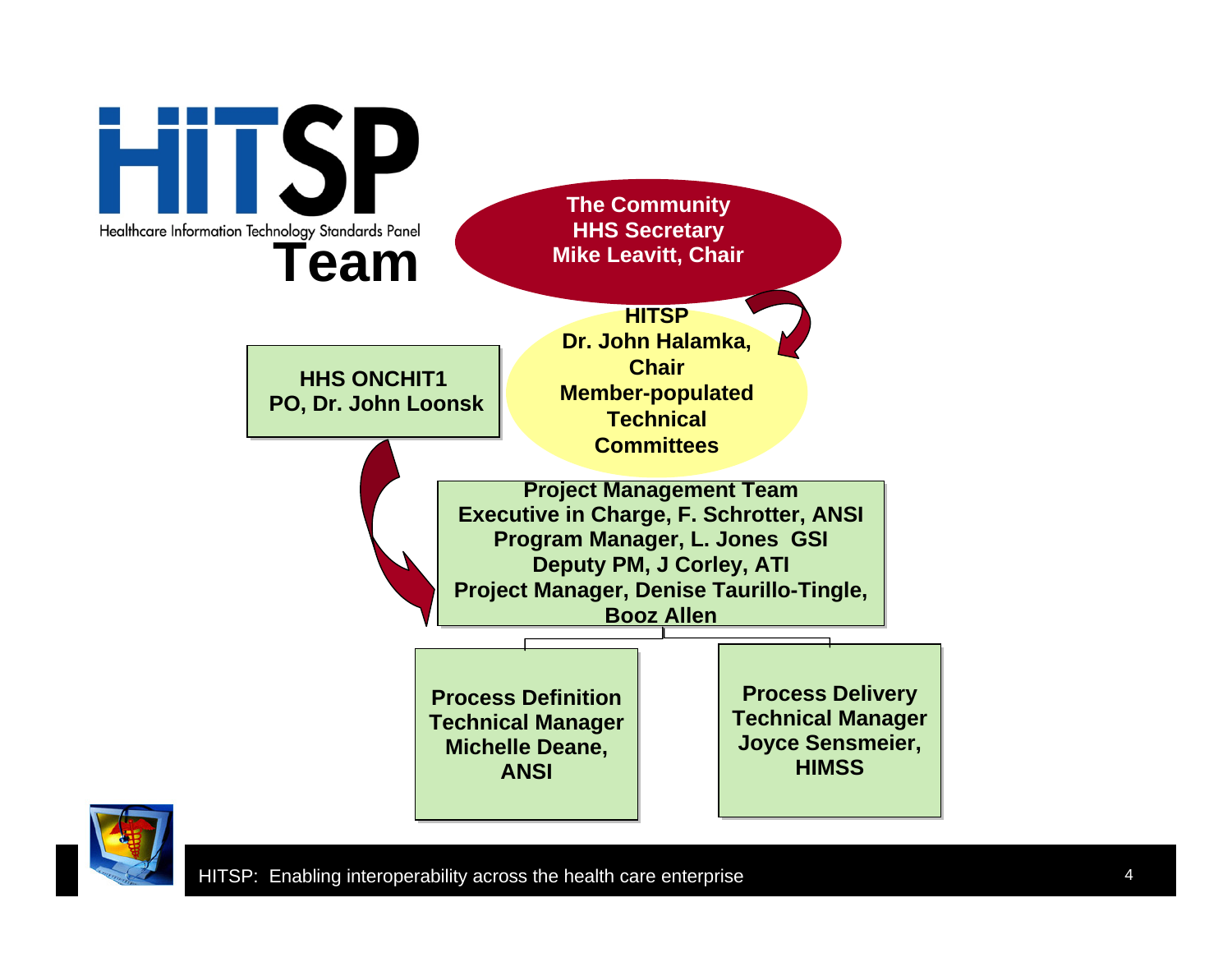

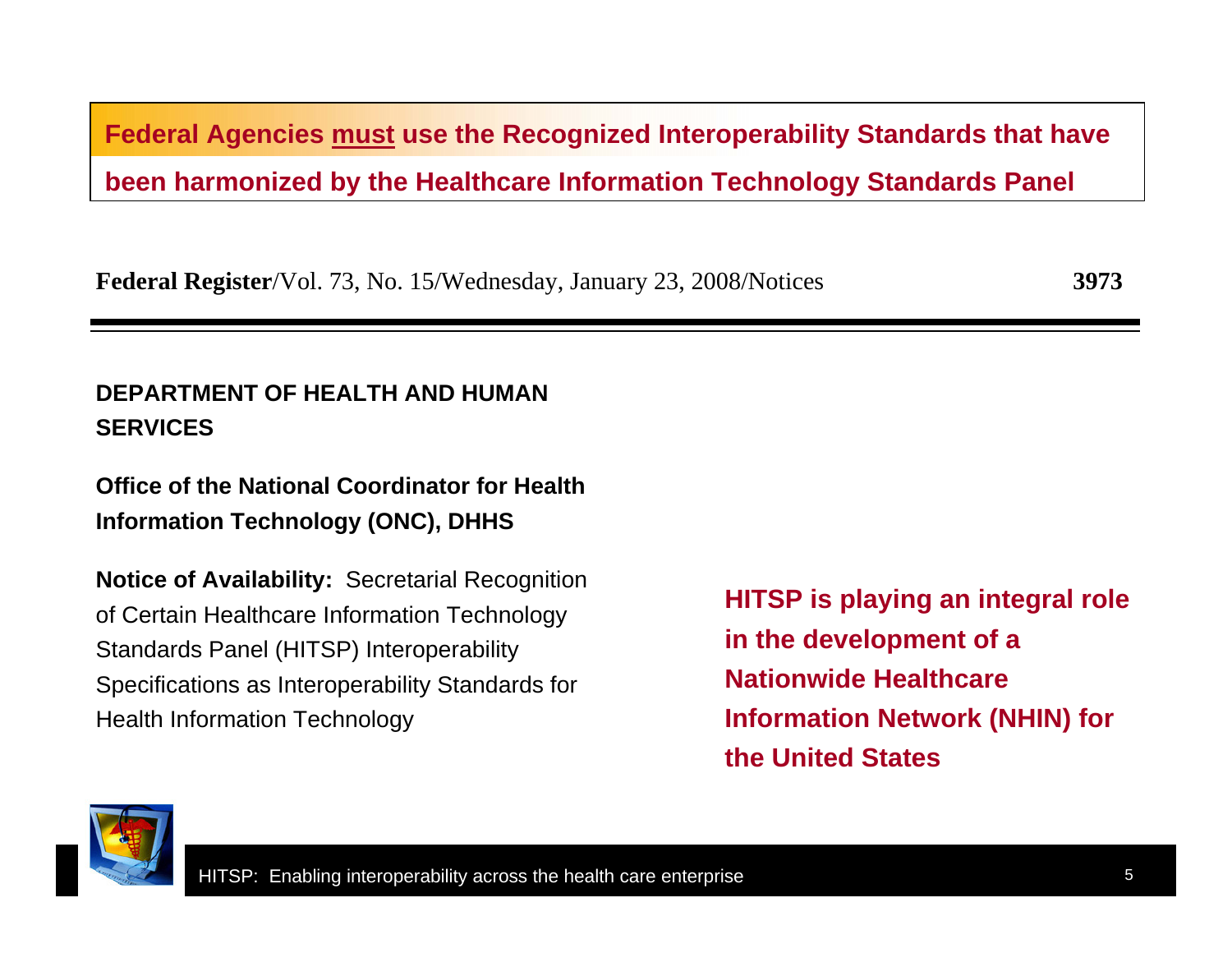**Federal Agencies must use the Recognized Interoperability Standards that have been harmonized by the Healthcare Information Technology Standards Panel**

**Federal Register**/Vol. 73, No. 15/Wednesday, January 23, 2008/Notices **3973**

#### **DEPARTMENT OF HEALTH AND HUMAN SERVICES**

**Office of the National Coordinator for Health Information Technology (ONC), DHHS**

**Notice of Availability:** Secretarial Recognition of Certain Healthcare Information Technology Standards Panel (HITSP) Interoperability Specifications as Interoperability Standards for Health Information Technology

**HITSP is playing an integral role in the development of a Nationwide Healthcare Information Network (NHIN) for the United States**

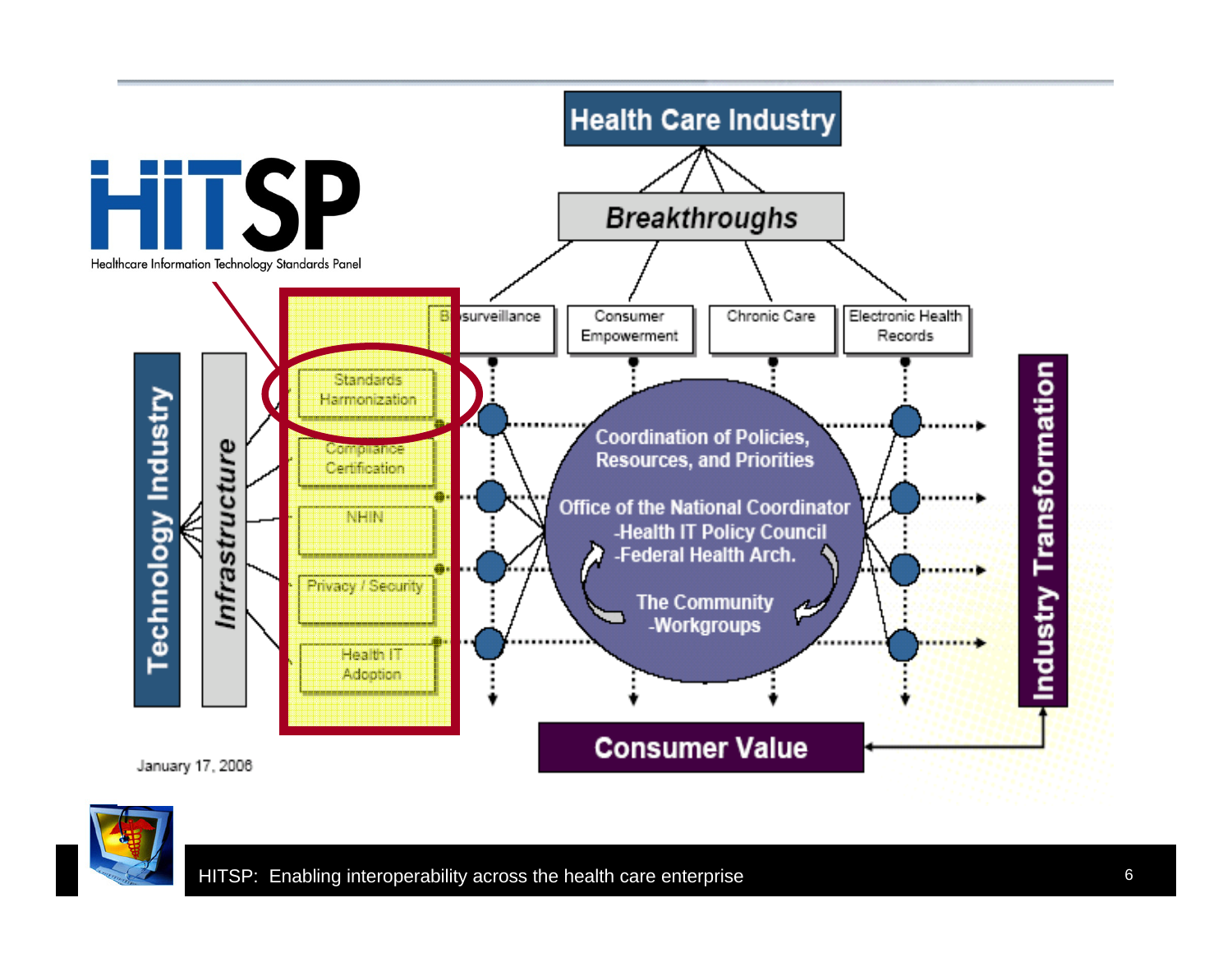

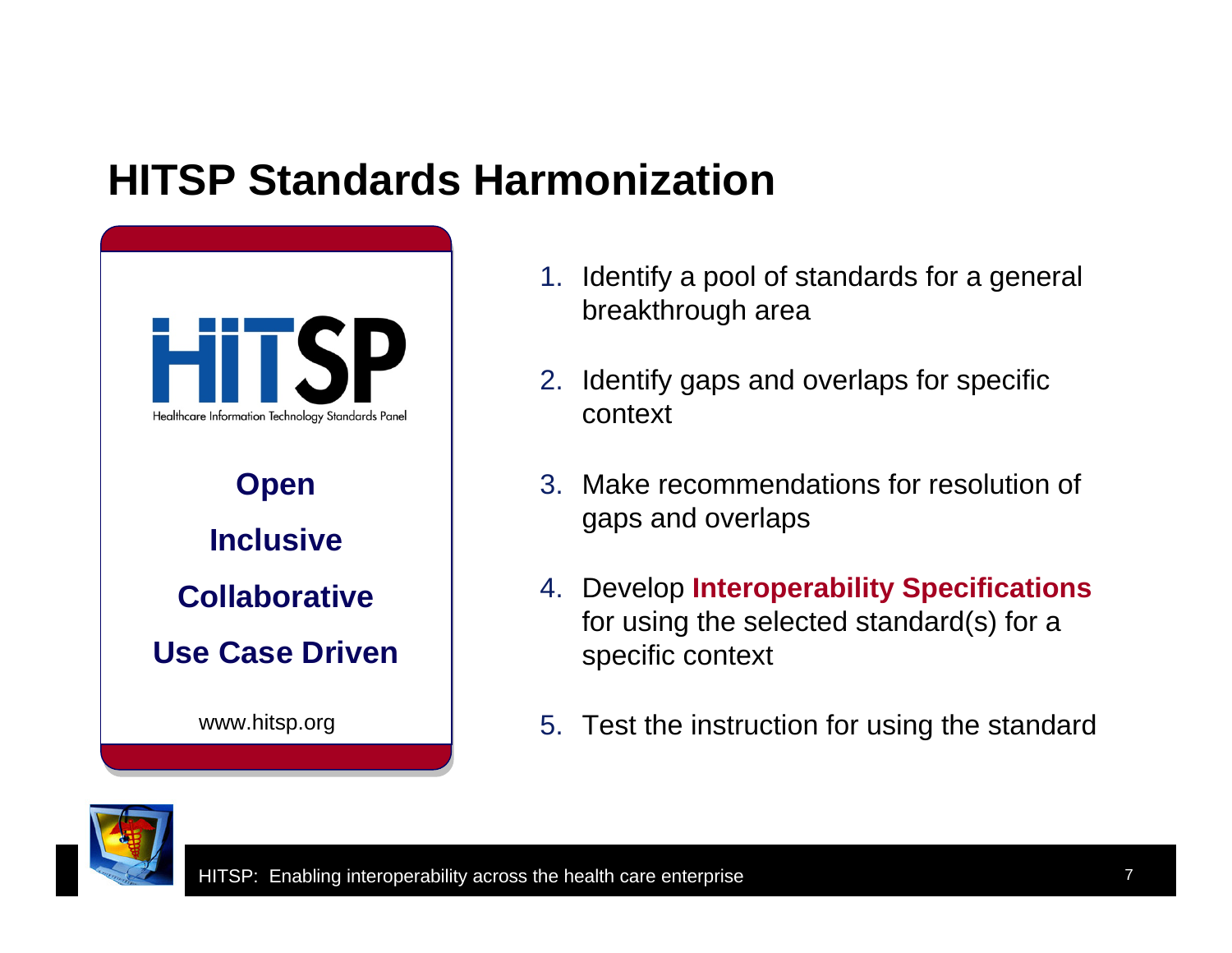#### **HITSP Standards Harmonization**



- 1. Identify a pool of standards for a general breakthrough area
- 2. Identify gaps and overlaps for specific context
- 3. Make recommendations for resolution of gaps and overlaps
- 4. Develop **Interoperability Specifications** for using the selected standard(s) for a specific context
- 5. Test the instruction for using the standard

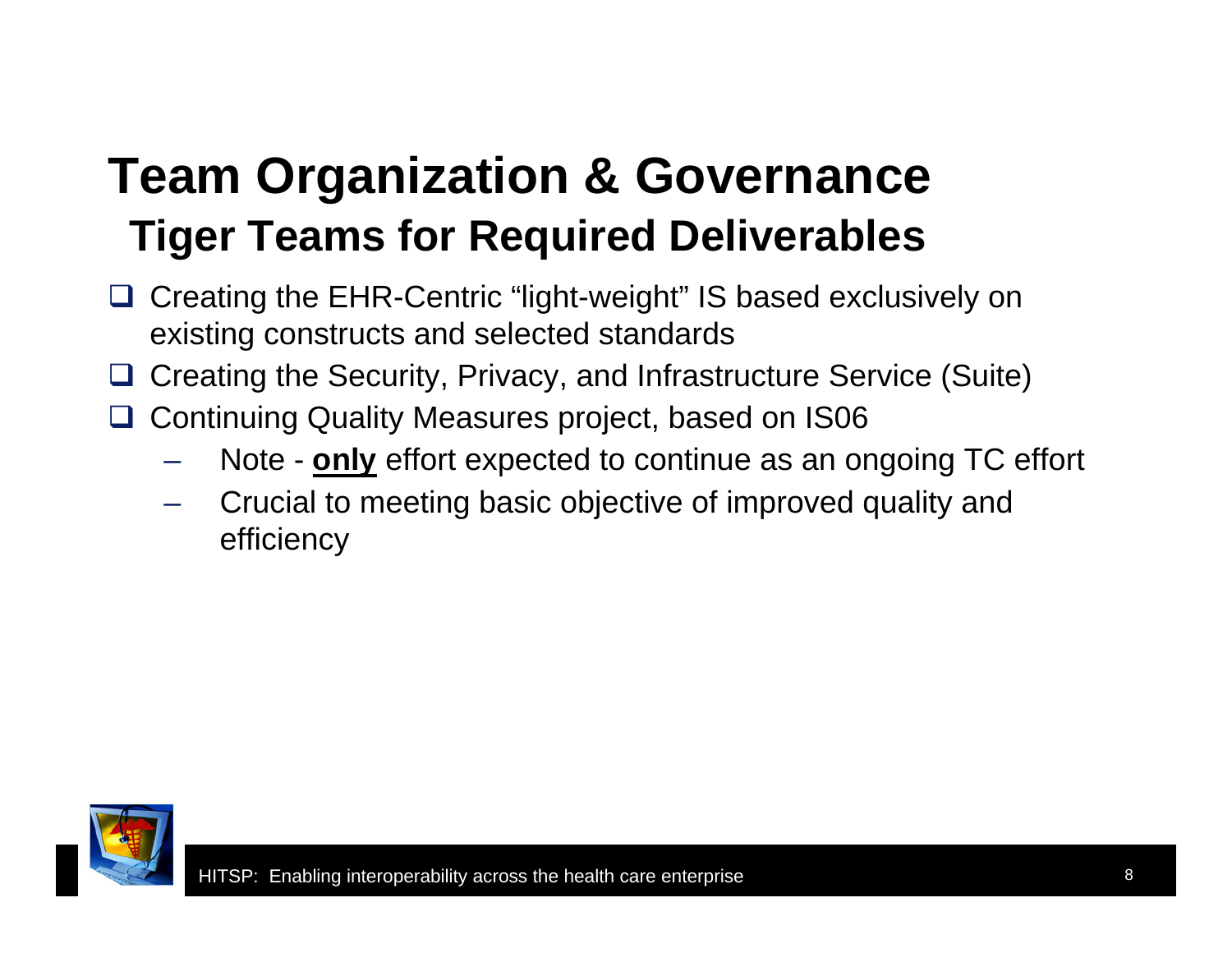### **Team Organization & Governance Tiger Teams for Required Deliverables**

- □ Creating the EHR-Centric "light-weight" IS based exclusively on existing constructs and selected standards
- **□ Creating the Security, Privacy, and Infrastructure Service (Suite)**
- **□ Continuing Quality Measures project, based on IS06** 
	- Note **only** effort expected to continue as an ongoing TC effort
	- Crucial to meeting basic objective of improved quality and efficiency

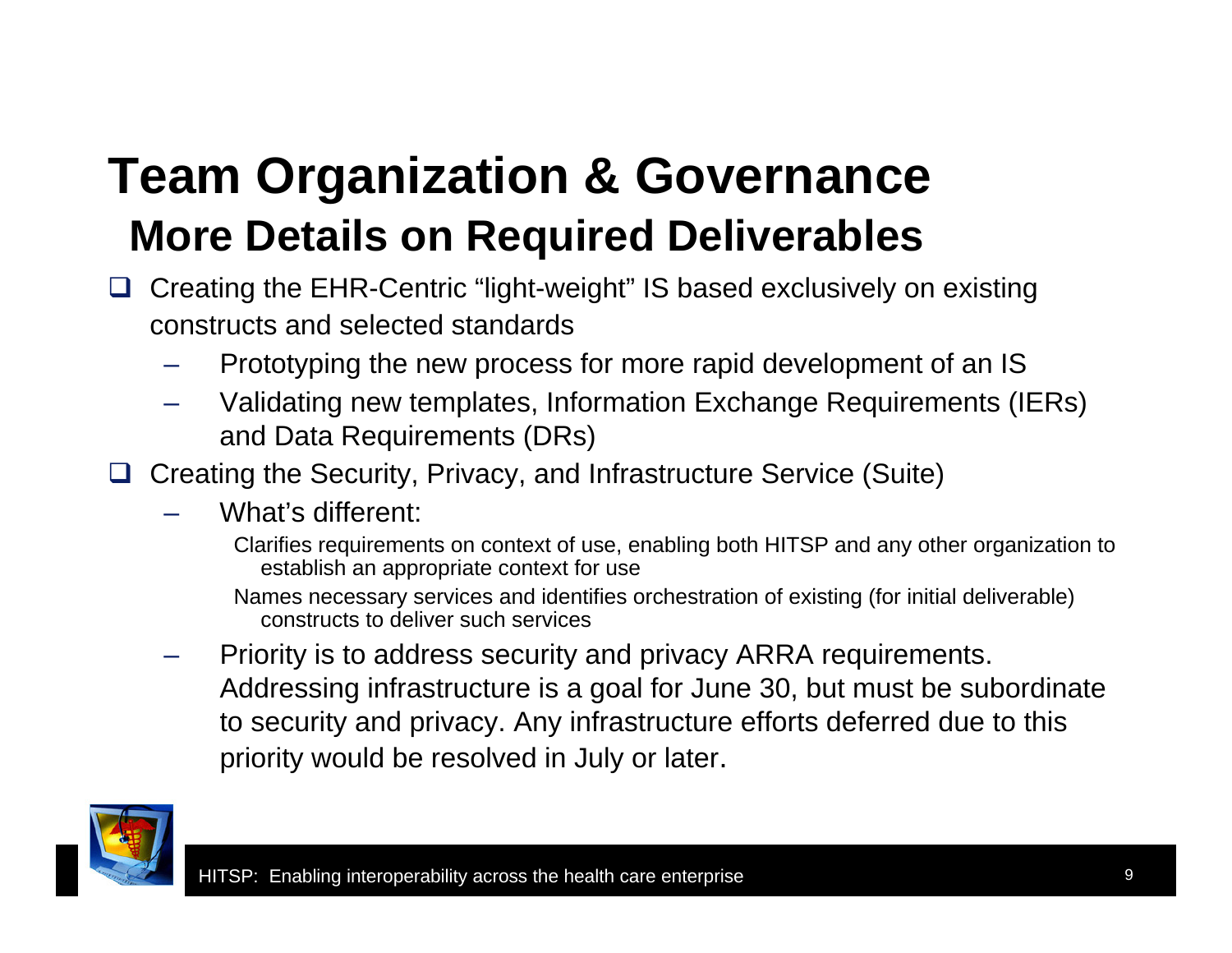### **Team Organization & Governance More Details on Required Deliverables**

- □ Creating the EHR-Centric "light-weight" IS based exclusively on existing constructs and selected standards
	- –Prototyping the new process for more rapid development of an IS
	- – Validating new templates, Information Exchange Requirements (IERs) and Data Requirements (DRs)
- **□** Creating the Security, Privacy, and Infrastructure Service (Suite)
	- – What's different:
		- Clarifies requirements on context of use, enabling both HITSP and any other organization to establish an appropriate context for use
		- Names necessary services and identifies orchestration of existing (for initial deliverable) constructs to deliver such services
	- – Priority is to address security and privacy ARRA requirements. Addressing infrastructure is a goal for June 30, but must be subordinate to security and privacy. Any infrastructure efforts deferred due to this priority would be resolved in July or later.

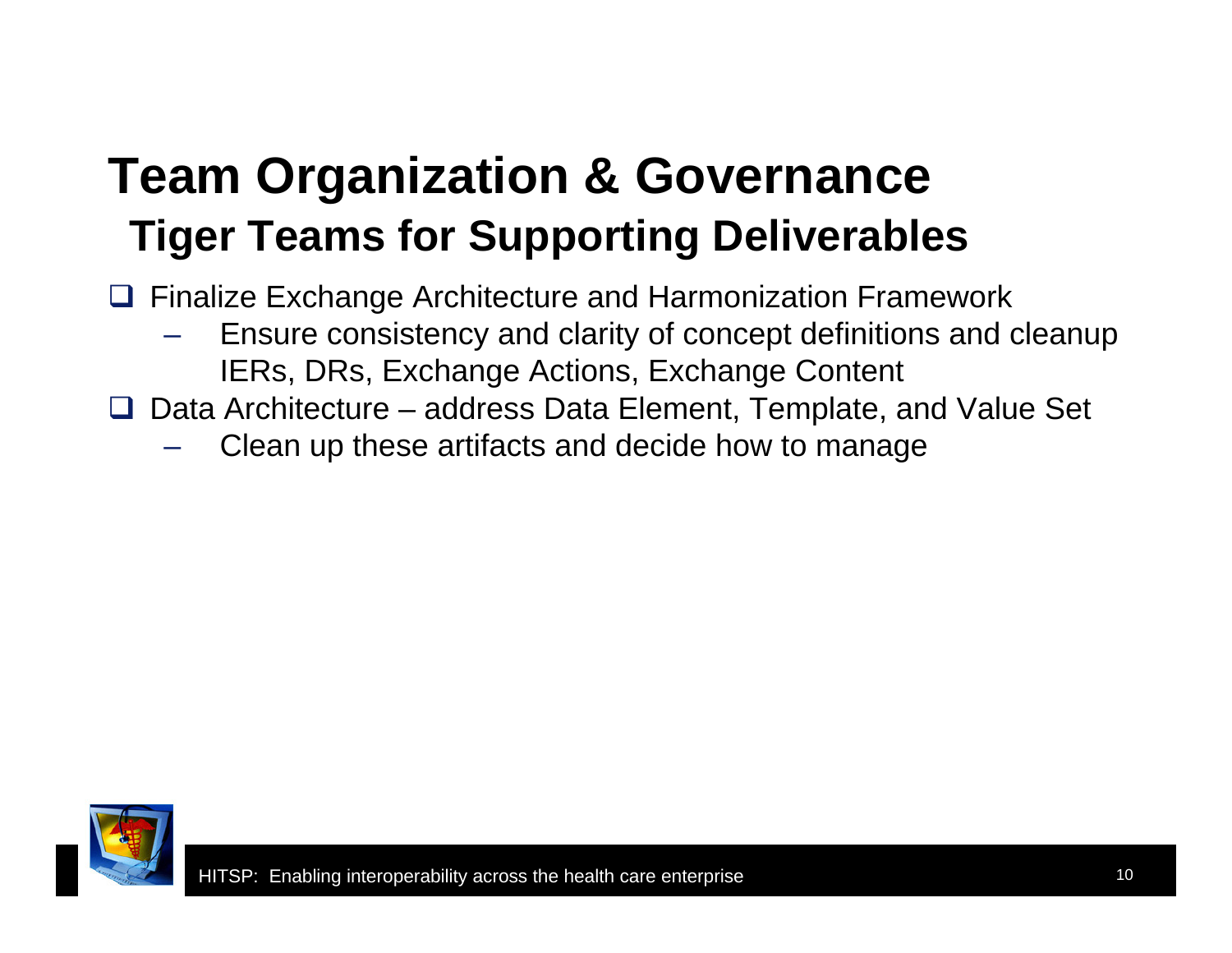### **Team Organization & Governance Tiger Teams for Supporting Deliverables**

**□ Finalize Exchange Architecture and Harmonization Framework** 

- Ensure consistency and clarity of concept definitions and cleanup IERs, DRs, Exchange Actions, Exchange Content
- $\Box$  Data Architecture address Data Element, Template, and Value Set
	- Clean up these artifacts and decide how to manage

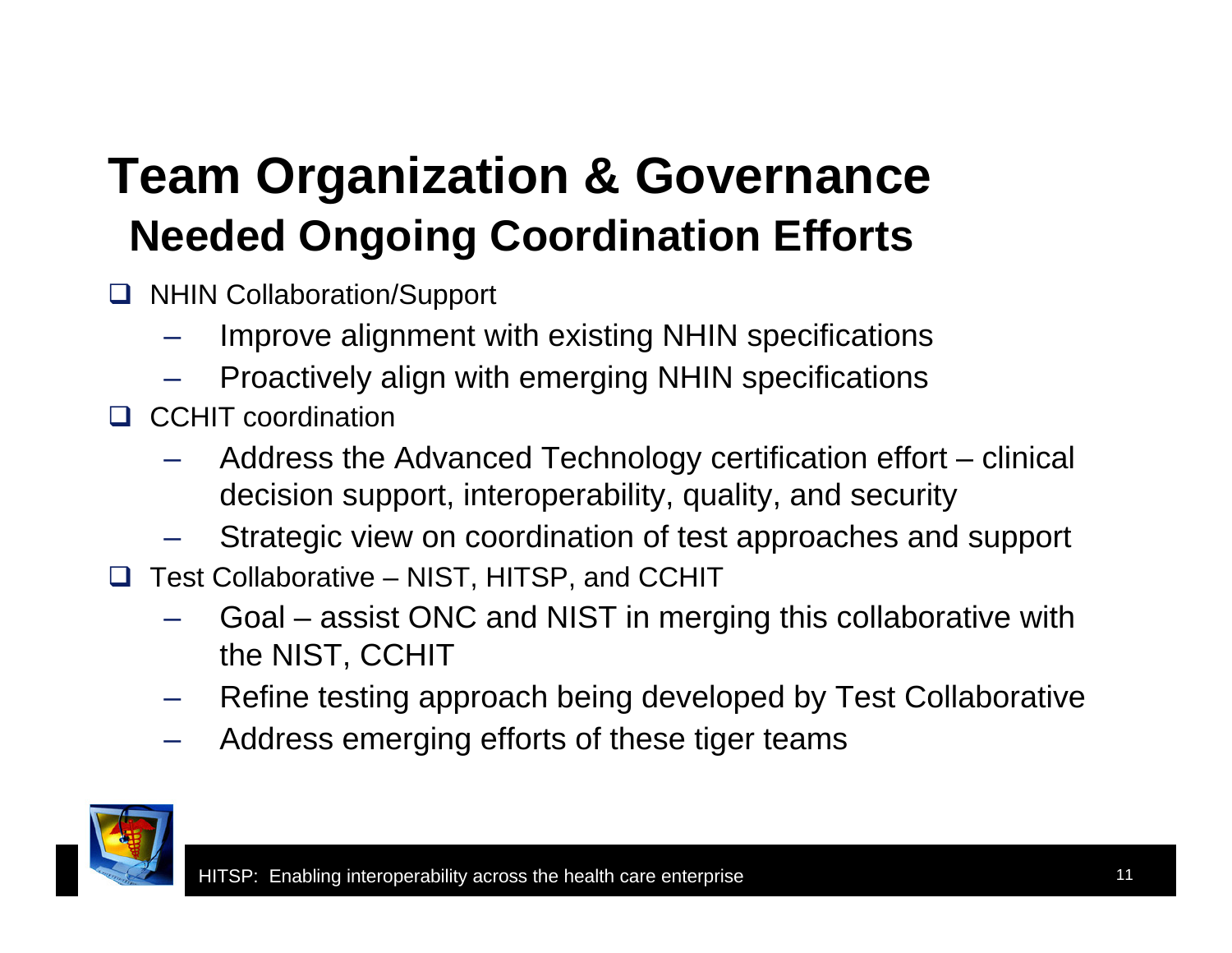### **Team Organization & Governance Needed Ongoing Coordination Efforts**

- **NHIN Collaboration/Support** 
	- Improve alignment with existing NHIN specifications
	- Proactively align with emerging NHIN specifications
- **Q** CCHIT coordination
	- Address the Advanced Technology certification effort clinical decision support, interoperability, quality, and security
	- Strategic view on coordination of test approaches and support
- $\Box$  Test Collaborative NIST, HITSP, and CCHIT
	- Goal assist ONC and NIST in merging this collaborative with the NIST, CCHIT
	- Refine testing approach being developed by Test Collaborative
	- Address emerging efforts of these tiger teams

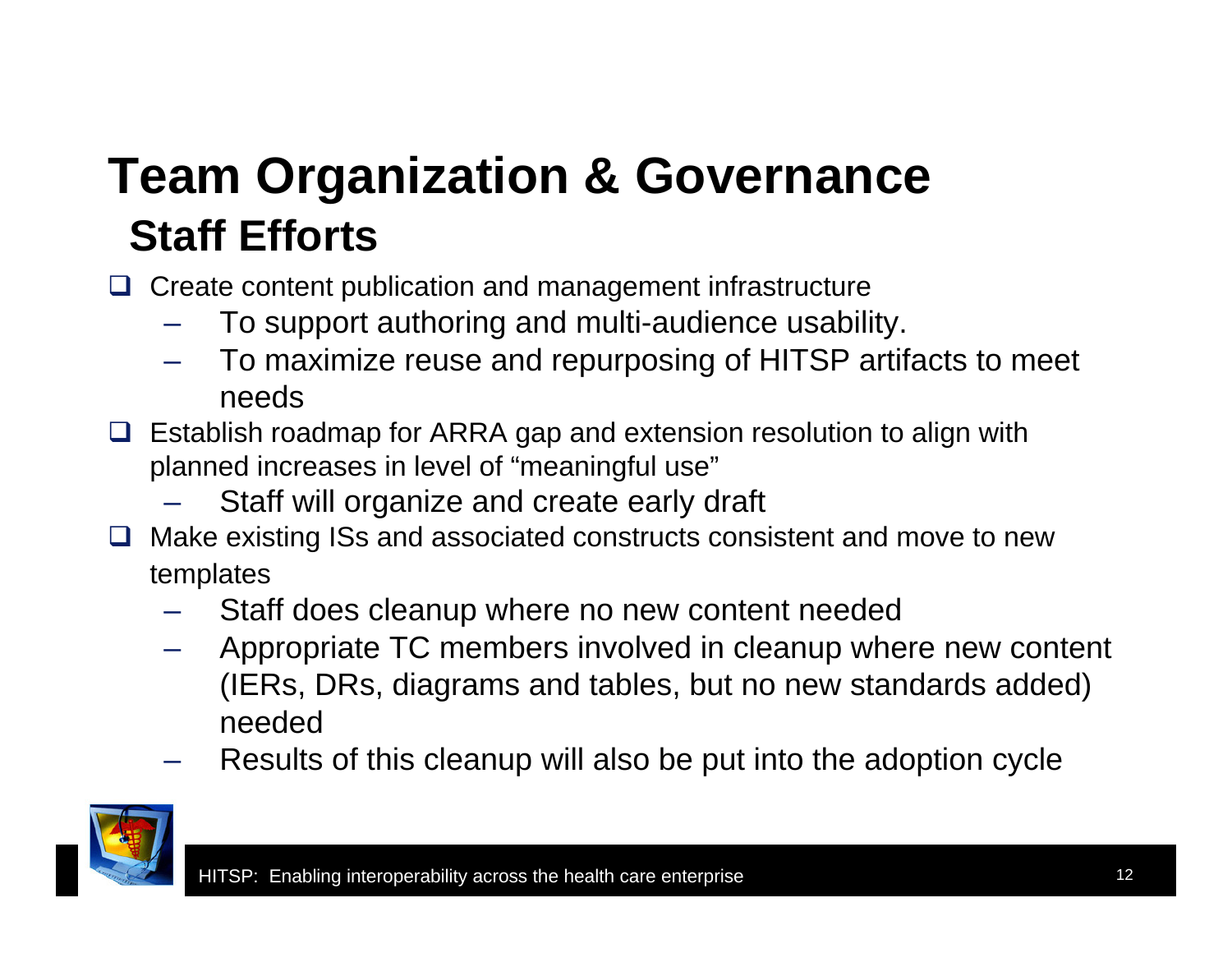## **Team Organization & Governance Staff Efforts**

**□** Create content publication and management infrastructure

- To support authoring and multi-audience usability.
- To maximize reuse and repurposing of HITSP artifacts to meet needs
- $\Box$  Establish roadmap for ARRA gap and extension resolution to align with planned increases in level of "meaningful use"
	- Staff will organize and create early draft
- $\Box$  Make existing ISs and associated constructs consistent and move to new templates
	- Staff does cleanup where no new content needed
	- Appropriate TC members involved in cleanup where new content (IERs, DRs, diagrams and tables, but no new standards added) needed
	- Results of this cleanup will also be put into the adoption cycle

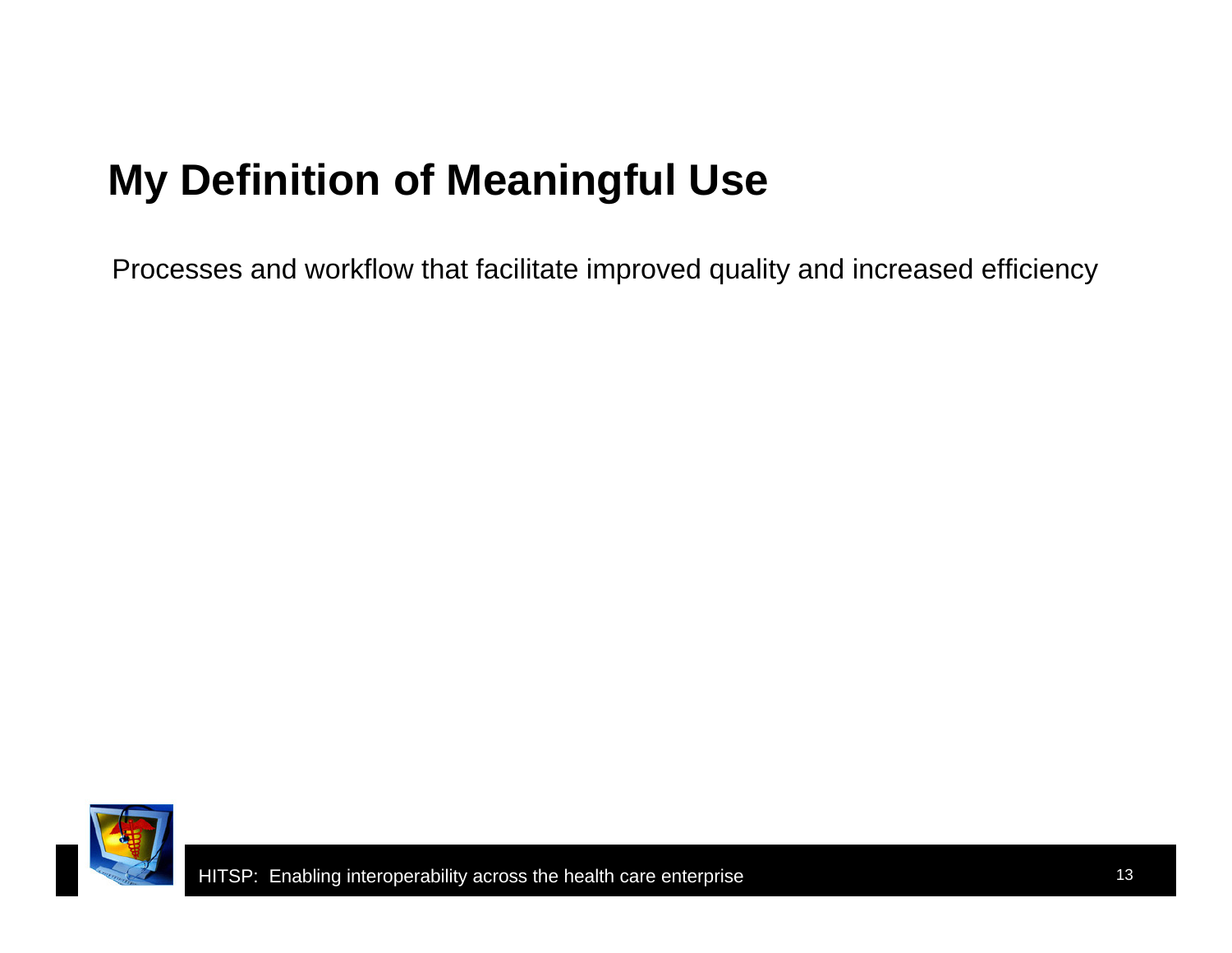### **My Definition of Meaningful Use**

Processes and workflow that facilitate improved quality and increased efficiency

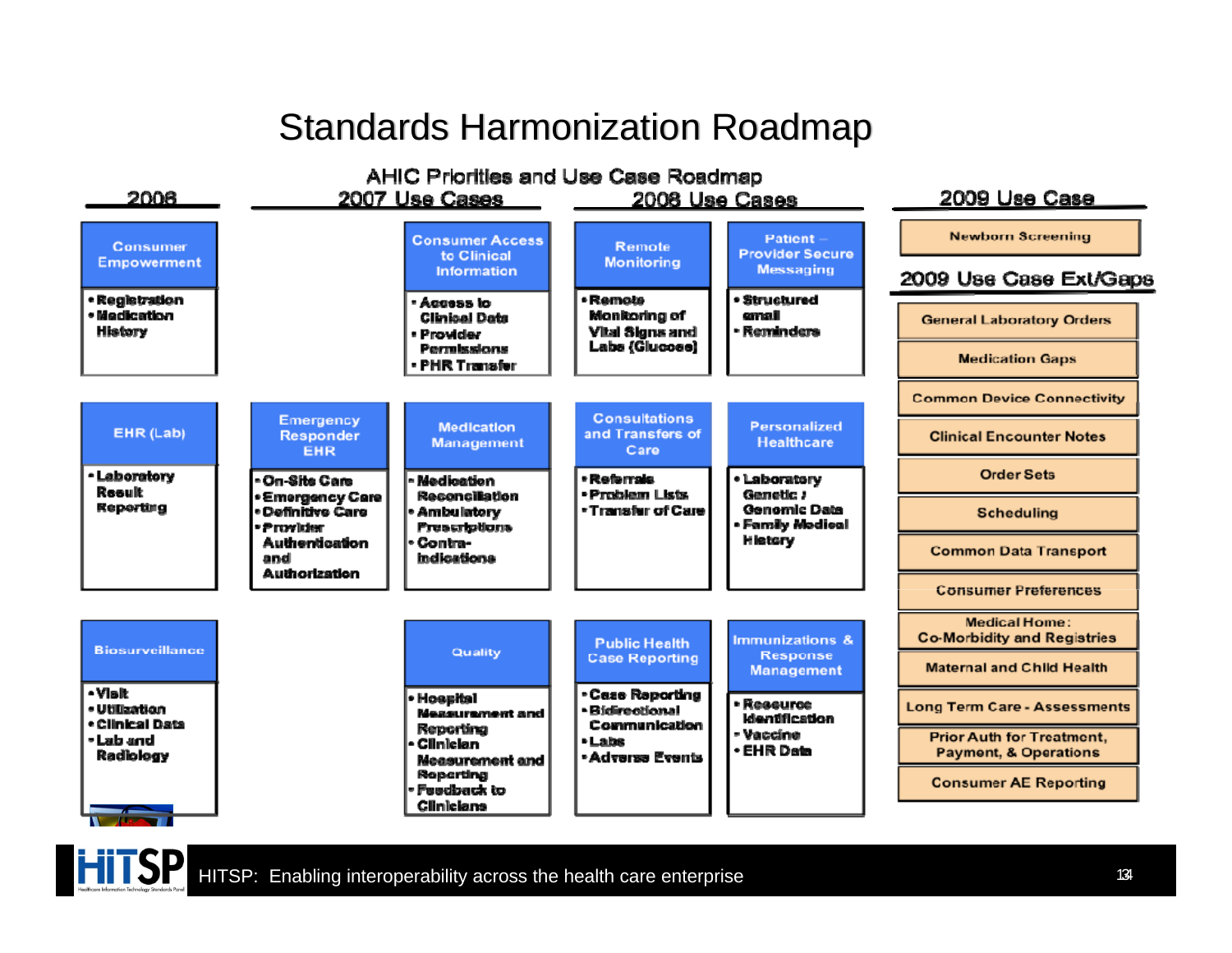#### Standards Harmonization Roadmap



HITSP: Enabling interoperability across the health care enterprise

**HITSP**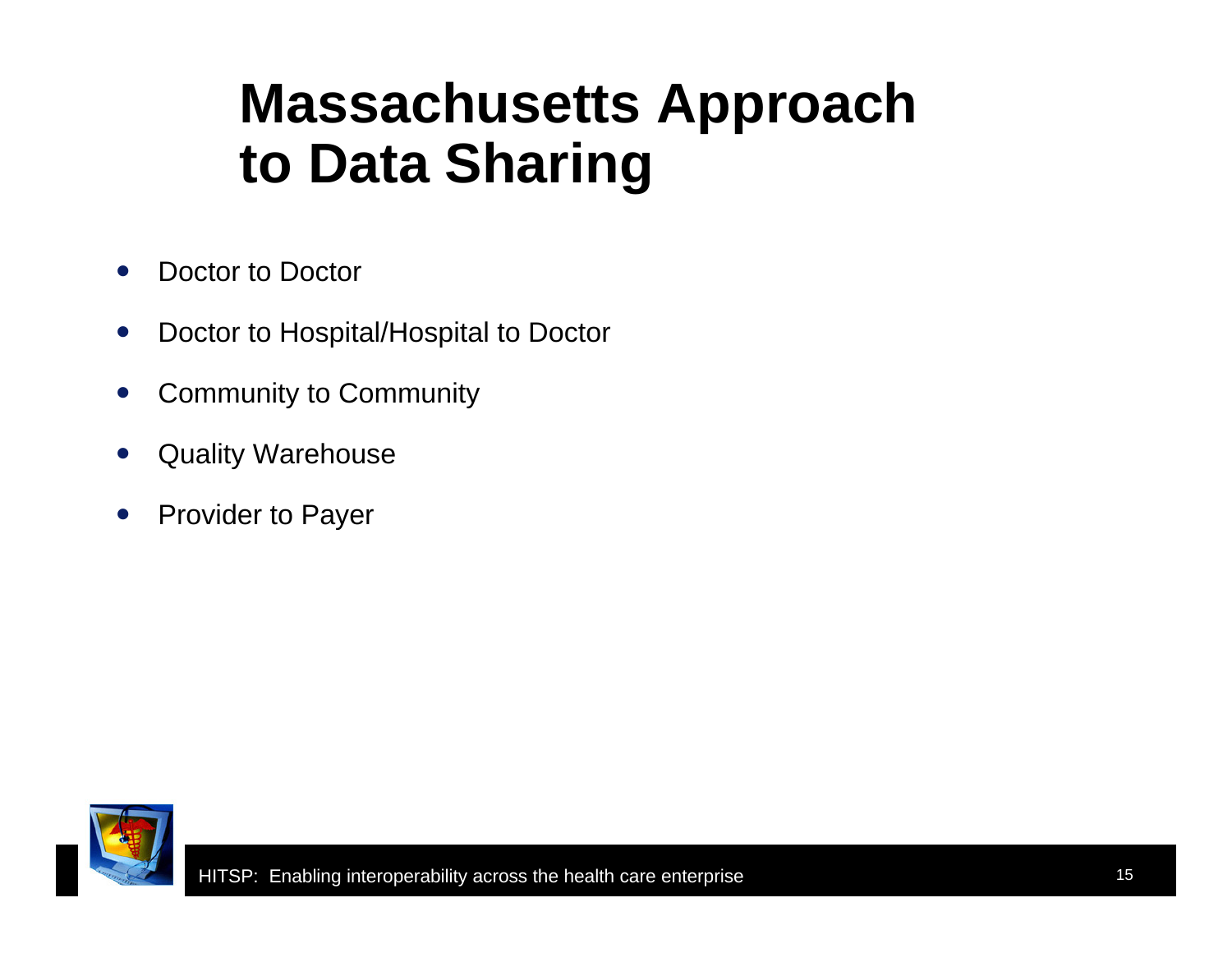# **Massachusetts Approach to Data Sharing**

- $\bullet$ Doctor to Doctor
- $\bullet$ Doctor to Hospital/Hospital to Doctor
- $\bullet$ Community to Community
- $\bullet$ Quality Warehouse
- $\bullet$ Provider to Payer

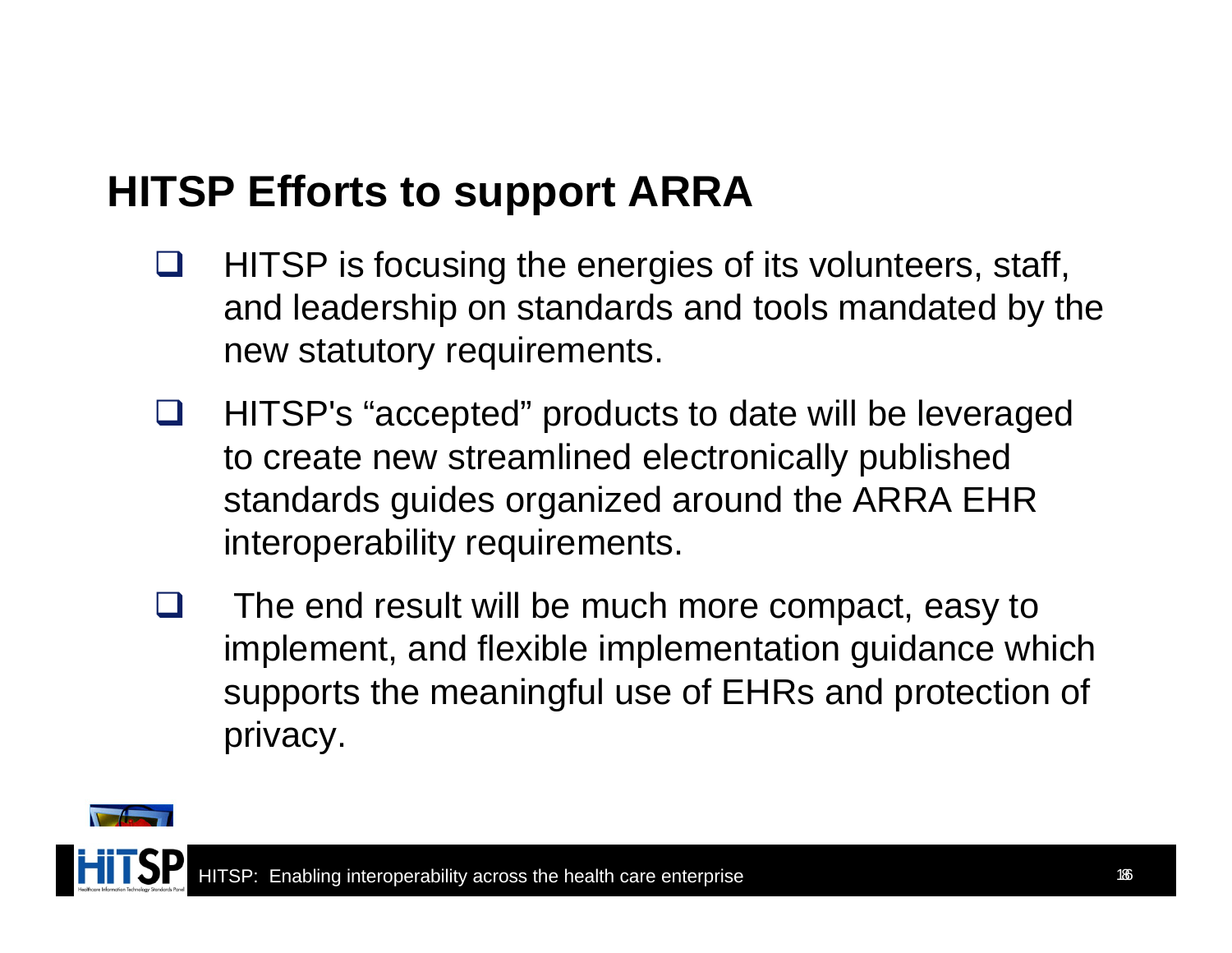#### **HITSP Efforts to support ARRA**

- $\Box$  HITSP is focusing the energies of its volunteers, staff, and leadership on standards and tools mandated by the new statutory requirements.
- U. HITSP's "accepted" products to date will be leveraged to create new streamlined electronically published standards guides organized around the ARRA EHR interoperability requirements.
- H The end result will be much more compact, easy to implement, and flexible implementation guidance which supports the meaningful use of EHRs and protection of privacy.



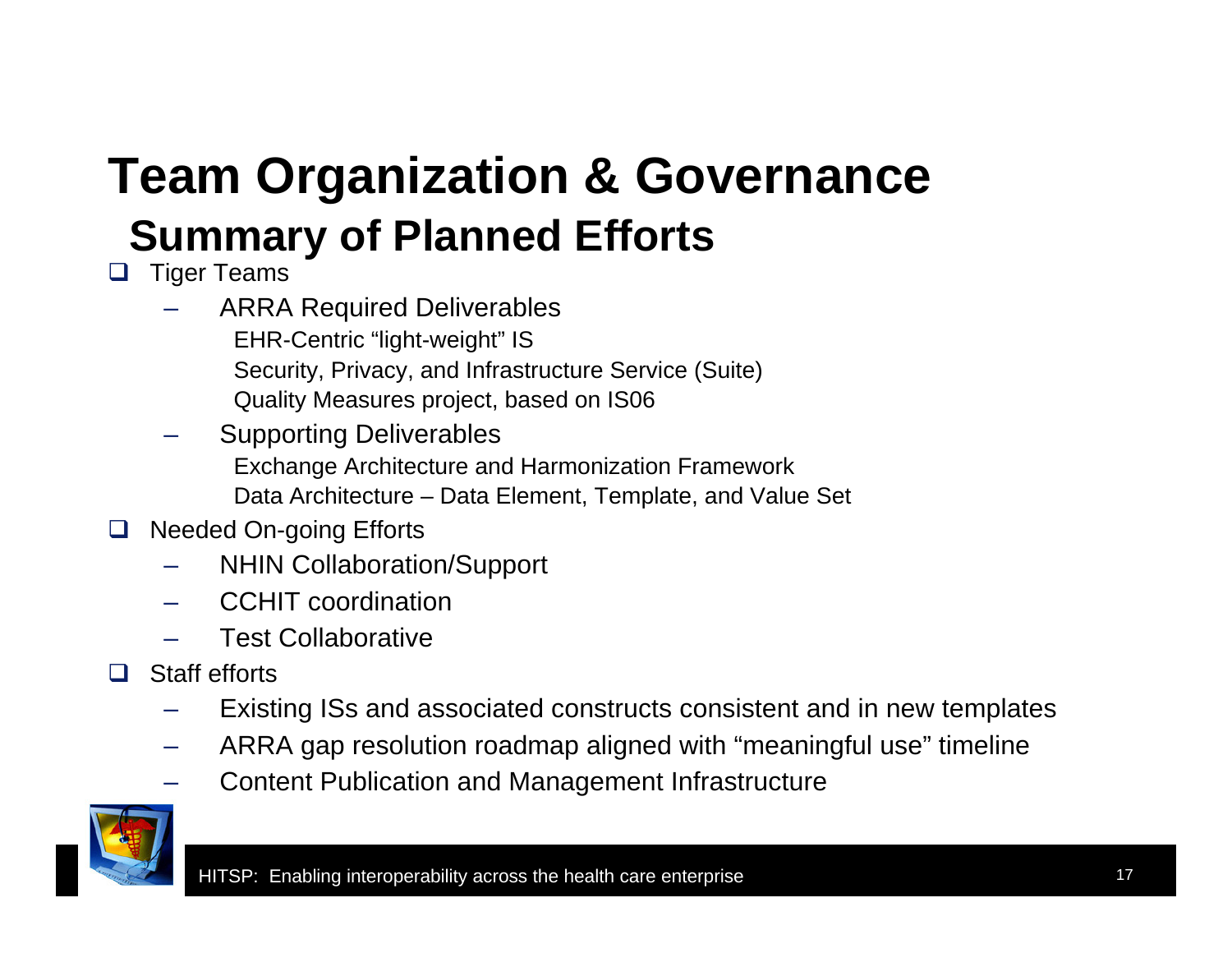## **Team Organization & Governance Summary of Planned Efforts**

- $\Box$  Tiger Teams
	- – ARRA Required Deliverables EHR-Centric "light-weight" IS Security, Privacy, and Infrastructure Service (Suite) Quality Measures project, based on IS06
	- – Supporting Deliverables Exchange Architecture and Harmonization Framework Data Architecture – Data Element, Template, and Value Set
- $\Box$  Needed On-going Efforts
	- –NHIN Collaboration/Support
	- –CCHIT coordination
	- –Test Collaborative
- □ Staff efforts
	- –Existing ISs and associated constructs consistent and in new templates
	- –ARRA gap resolution roadmap aligned with "meaningful use" timeline
	- –Content Publication and Management Infrastructure

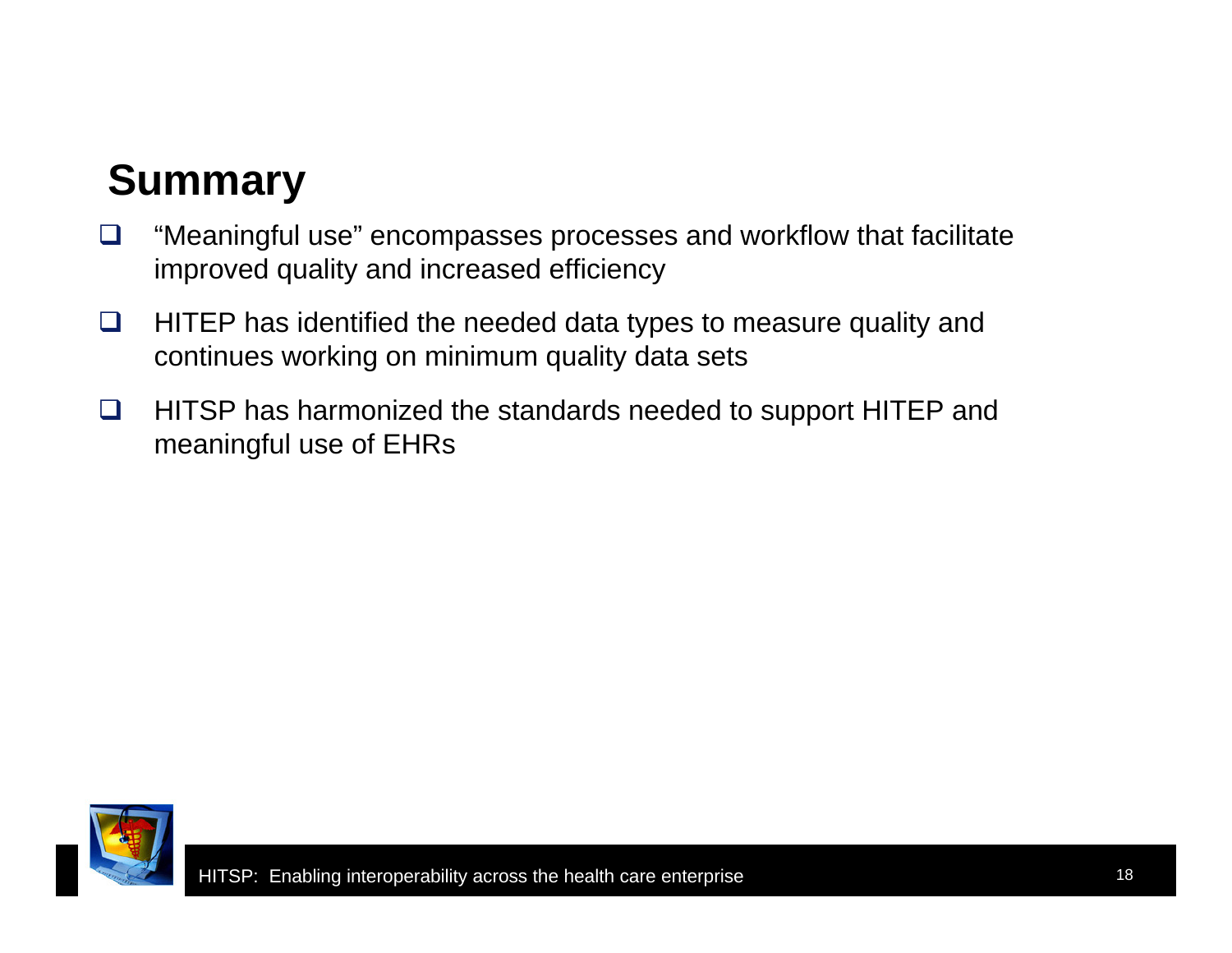### **Summary**

- ⊔ "Meaningful use" encompasses processes and workflow that facilitate improved quality and increased efficiency
- $\Box$  HITEP has identified the needed data types to measure quality and continues working on minimum quality data sets
- $\Box$  HITSP has harmonized the standards needed to support HITEP and meaningful use of EHRs

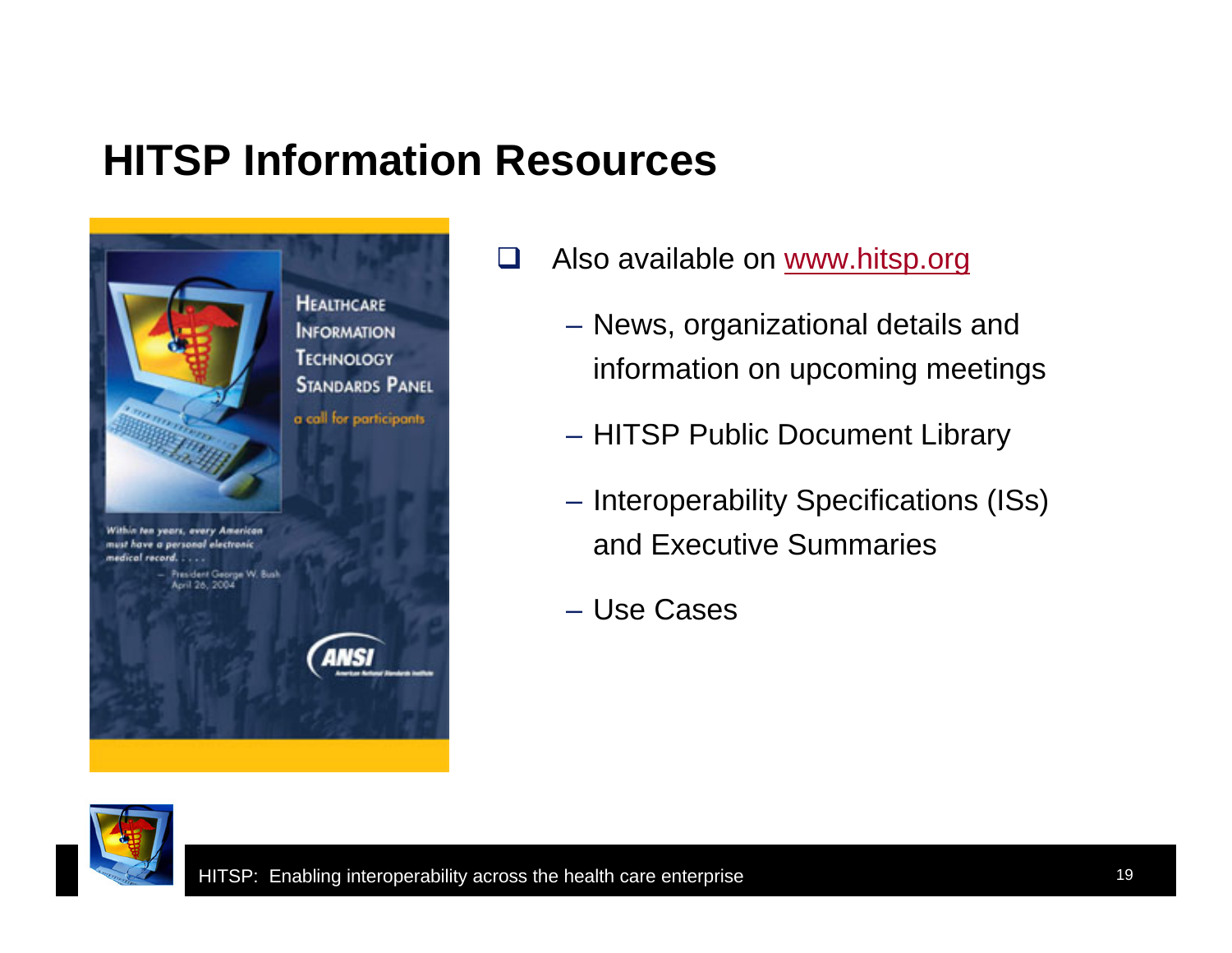#### **HITSP Information Resources**



- $\Box$  Also available on www.hitsp.org
	- News, organizational details and information on upcoming meetings
	- HITSP Public Document Library
	- Interoperability Specifications (ISs) and Executive Summaries
	- Use Cases

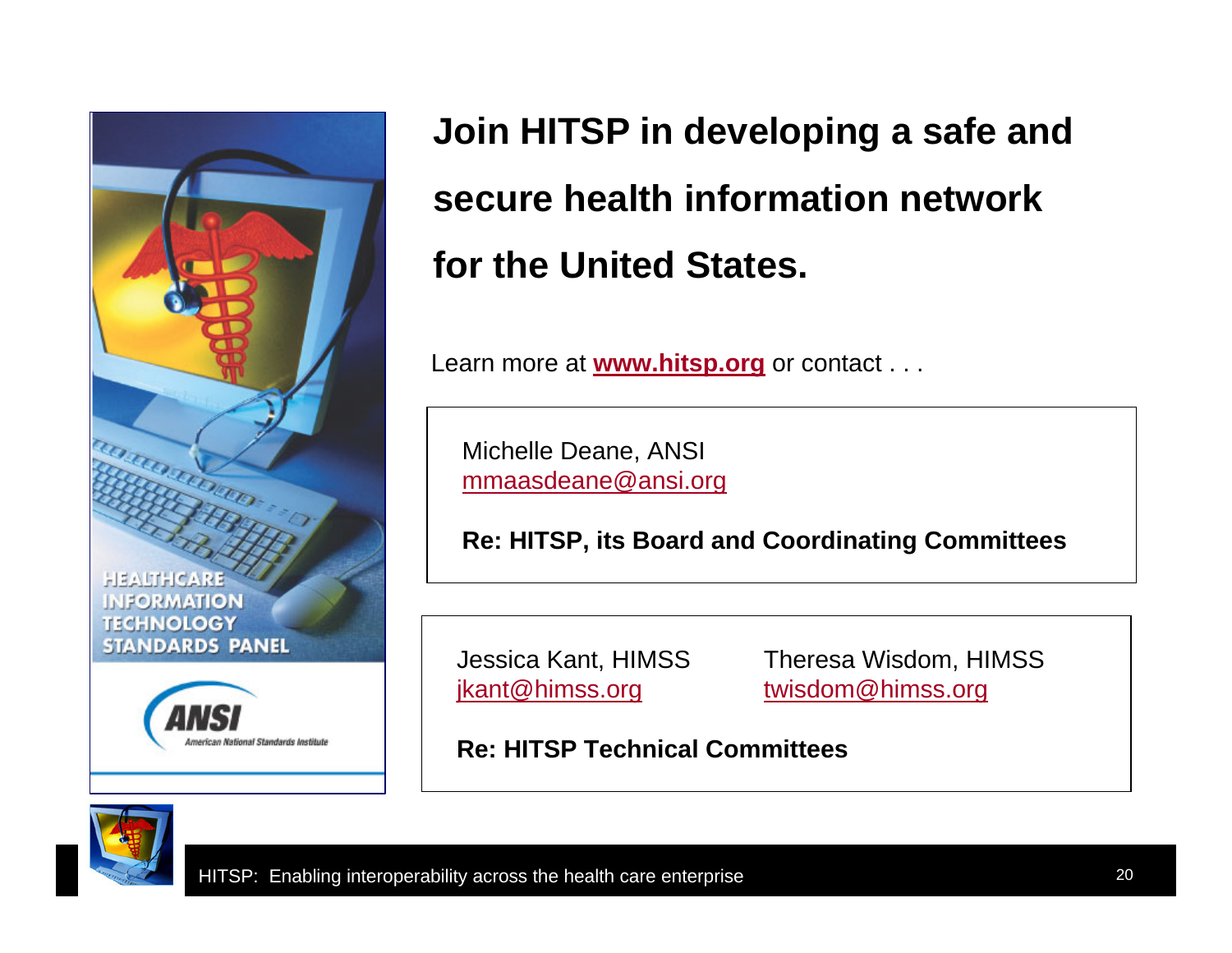

**Join HITSP in developing a safe and secure health information network for the United States.** 

Learn more at **www.hitsp.org** or contact . . .

Michelle Deane, ANSI mmaasdeane@ansi.org

**Re: HITSP, its Board and Coordinating Committees**

Jessica Kant, HIMSS Theresa Wisdom, HIMSS jkant@himss.org twisdom@himss.org

**Re: HITSP Technical Committees**